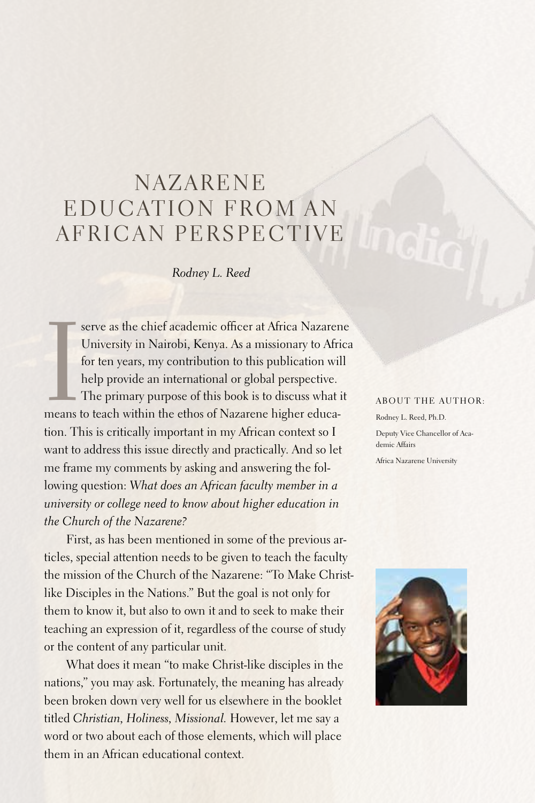## **NAZARENE** EDUCATION FROM AN AFRICAN PERSPECTIVE

*Rodney L. Reed*

I serve as the chief academic officer at Africa Nazarene<br>University in Nairobi, Kenya. As a missionary to Africa<br>for ten years, my contribution to this publication will<br>help provide an international or global perspective.<br> University in Nairobi, Kenya. As a missionary to Africa for ten years, my contribution to this publication will help provide an international or global perspective. The primary purpose of this book is to discuss what it means to teach within the ethos of Nazarene higher education. This is critically important in my African context so I want to address this issue directly and practically.And so let me frame my comments by asking and answering the following question: *What does an African faculty member in a university or college need to know about higher education in the Church of the Nazarene?*

First, as has been mentioned in some of the previous articles, special attention needs to be given to teach the faculty the mission of the Church of the Nazarene: "To Make Christlike Disciples in the Nations." But the goal is not only for them to know it, but also to own it and to seek to make their teaching an expression of it, regardless of the course of study or the content of any particular unit.

What does it mean "to make Christ-like disciples in the nations," you may ask. Fortunately, the meaning has already been broken down very well for us elsewhere in the booklet titled *Christian, Holiness, Missional.* However, let me say a word or two about each of those elements, which will place them in an African educational context.

## ABOUT THE AUTHOR:

Rodney L. Reed, Ph.D. Deputy Vice Chancellor of Academic Affairs Africa Nazarene University

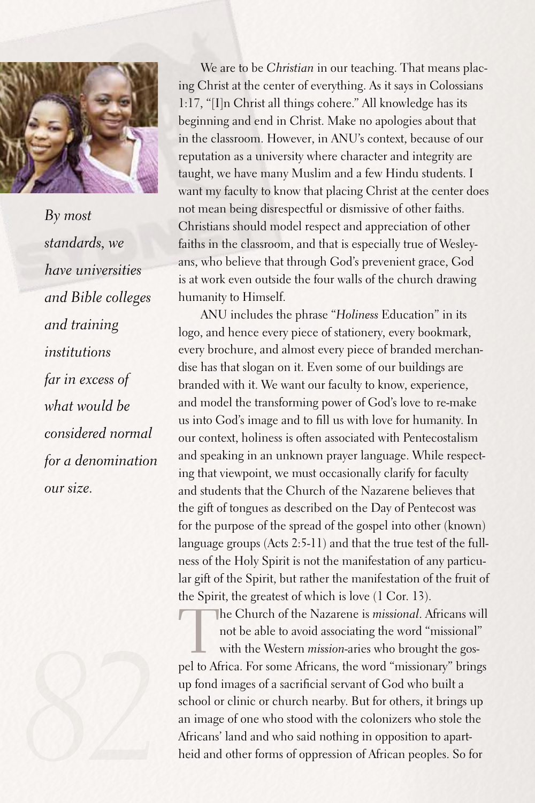

*By most standards, we have universities and Bible colleges and training institutions far in excess of what would be considered normal for a denomination our size.* 



We are to be *Christian* in our teaching. That means placing Christ at the center of everything.As it says in Colossians 1:17, "[I]n Christ all things cohere." All knowledge has its beginning and end in Christ. Make no apologies about that in the classroom. However, in ANU's context, because of our reputation as a university where character and integrity are taught, we have many Muslim and a few Hindu students. I want my faculty to know that placing Christ at the center does not mean being disrespectful or dismissive of other faiths. Christians should model respect and appreciation of other faiths in the classroom, and that is especially true of Wesleyans, who believe that through God's prevenient grace, God is at work even outside the four walls of the church drawing humanity to Himself.

ANU includes the phrase "*Holiness* Education" in its logo, and hence every piece of stationery, every bookmark, every brochure, and almost every piece of branded merchandise has that slogan on it. Even some of our buildings are branded with it. We want our faculty to know, experience, and model the transforming power of God's love to re-make us into God's image and to fill us with love for humanity. In our context, holiness is often associated with Pentecostalism and speaking in an unknown prayer language. While respecting that viewpoint, we must occasionally clarify for faculty and students that the Church of the Nazarene believes that the gift of tongues as described on the Day of Pentecost was for the purpose of the spread of the gospel into other (known) language groups (Acts 2:5-11) and that the true test of the fullness of the Holy Spirit is not the manifestation of any particular gift of the Spirit, but rather the manifestation of the fruit of the Spirit, the greatest of which is love (1 Cor. 13).

The Church of the Nazarene is *missional*. Africans will<br>not be able to avoid associating the word "missional"<br>with the Western *mission*-aries who brought the gos-<br>not to Africa. For some Africans, the word "missionary" b not be able to avoid associating the word "missional" with the Western *mission*-aries who brought the gospel to Africa.For some Africans, the word "missionary" brings up fond images of a sacrificial servant of God who built a school or clinic or church nearby. But for others, it brings up an image of one who stood with the colonizers who stole the Africans' land and who said nothing in opposition to apartheid and other forms of oppression of African peoples. So for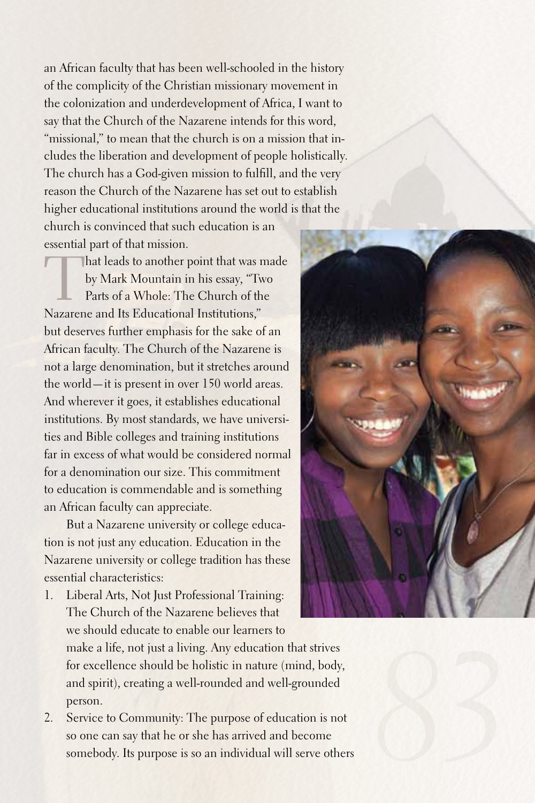an African faculty that has been well-schooled in the history of the complicity of the Christian missionary movement in the colonization and underdevelopment of Africa, I want to say that the Church of the Nazarene intends for this word, "missional," to mean that the church is on a mission that includes the liberation and development of people holistically. The church has a God-given mission to fulfill, and the very reason the Church of the Nazarene has set out to establish higher educational institutions around the world is that the church is convinced that such education is an

essential part of that mission.

That leads to another point that was made by Mark Mountain in his essay, "Two Parts of a Whole: The Church of the Nazarene and Its Educational Institutions," but deserves further emphasis for the sake of an African faculty. The Church of the Nazarene is not a large denomination, but it stretches around the world—it is present in over 150 world areas. And wherever it goes, it establishes educational institutions.By most standards, we have universities and Bible colleges and training institutions far in excess of what would be considered normal for a denomination our size. This commitment to education is commendable and is something an African faculty can appreciate.

But a Nazarene university or college education is not just any education. Education in the Nazarene university or college tradition has these essential characteristics:

1. Liberal Arts, Not Just Professional Training: The Church of the Nazarene believes that we should educate to enable our learners to

make a life, not just a living.Any education that strives for excellence should be holistic in nature (mind, body, and spirit), creating a well-rounded and well-grounded person.

2. Service to Community: The purpose of education is not so one can say that he or she has arrived and become somebody. Its purpose is so an individual will serve others